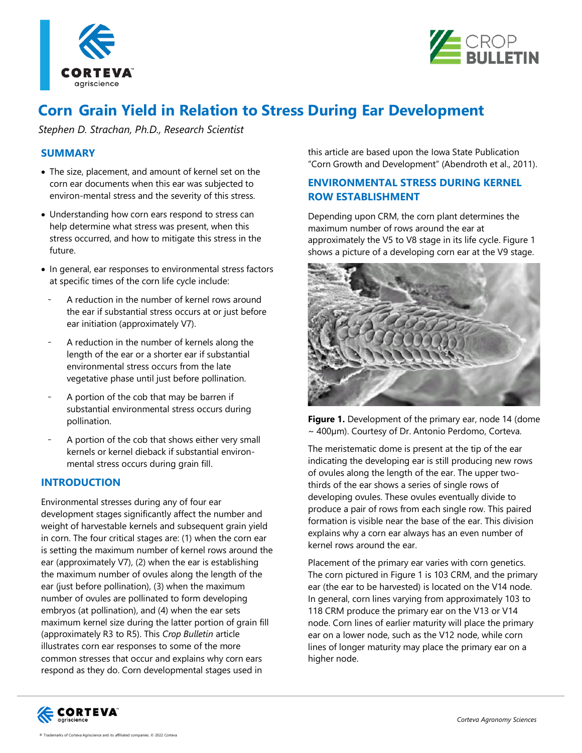



# **Corn Grain Yield in Relation to Stress During Ear Development**

*Stephen D. Strachan, Ph.D., Research Scientist*

# **SUMMARY**

- The size, placement, and amount of kernel set on the corn ear documents when this ear was subjected to environ-mental stress and the severity of this stress.
- Understanding how corn ears respond to stress can help determine what stress was present, when this stress occurred, and how to mitigate this stress in the future.
- In general, ear responses to environmental stress factors at specific times of the corn life cycle include:
	- A reduction in the number of kernel rows around the ear if substantial stress occurs at or just before ear initiation (approximately V7).
	- A reduction in the number of kernels along the length of the ear or a shorter ear if substantial environmental stress occurs from the late vegetative phase until just before pollination.
	- A portion of the cob that may be barren if substantial environmental stress occurs during pollination.
- A portion of the cob that shows either very small kernels or kernel dieback if substantial environmental stress occurs during grain fill.

# **INTRODUCTION**

Environmental stresses during any of four ear development stages significantly affect the number and weight of harvestable kernels and subsequent grain yield in corn. The four critical stages are: (1) when the corn ear is setting the maximum number of kernel rows around the ear (approximately V7), (2) when the ear is establishing the maximum number of ovules along the length of the ear (just before pollination), (3) when the maximum number of ovules are pollinated to form developing embryos (at pollination), and (4) when the ear sets maximum kernel size during the latter portion of grain fill (approximately R3 to R5). This *Crop Bulletin* article illustrates corn ear responses to some of the more common stresses that occur and explains why corn ears respond as they do. Corn developmental stages used in

this article are based upon the Iowa State Publication "Corn Growth and Development" (Abendroth et al., 2011).

# **ENVIRONMENTAL STRESS DURING KERNEL ROW ESTABLISHMENT**

Depending upon CRM, the corn plant determines the maximum number of rows around the ear at approximately the V5 to V8 stage in its life cycle. Figure 1 shows a picture of a developing corn ear at the V9 stage.



**Figure 1.** Development of the primary ear, node 14 (dome ~ 400µm). Courtesy of Dr. Antonio Perdomo, Corteva.

The meristematic dome is present at the tip of the ear indicating the developing ear is still producing new rows of ovules along the length of the ear. The upper twothirds of the ear shows a series of single rows of developing ovules. These ovules eventually divide to produce a pair of rows from each single row. This paired formation is visible near the base of the ear. This division explains why a corn ear always has an even number of kernel rows around the ear.

Placement of the primary ear varies with corn genetics. The corn pictured in Figure 1 is 103 CRM, and the primary ear (the ear to be harvested) is located on the V14 node. In general, corn lines varying from approximately 103 to 118 CRM produce the primary ear on the V13 or V14 node. Corn lines of earlier maturity will place the primary ear on a lower node, such as the V12 node, while corn lines of longer maturity may place the primary ear on a higher node.

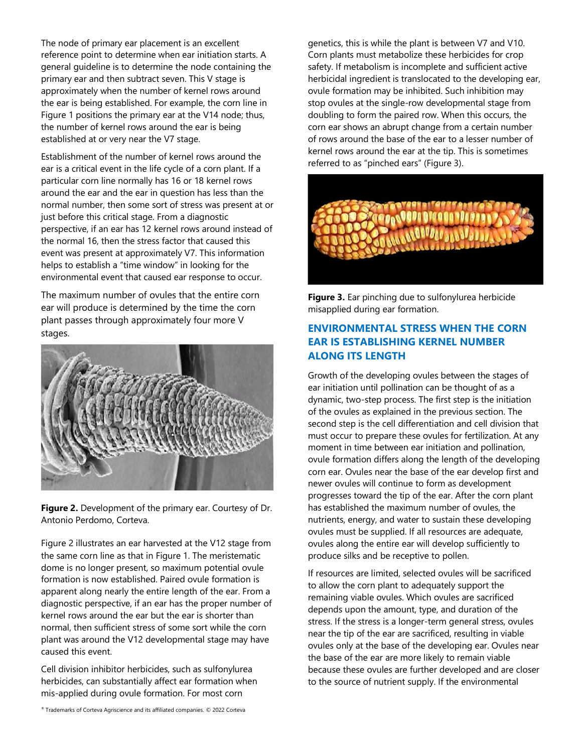The node of primary ear placement is an excellent reference point to determine when ear initiation starts. A general guideline is to determine the node containing the primary ear and then subtract seven. This V stage is approximately when the number of kernel rows around the ear is being established. For example, the corn line in Figure 1 positions the primary ear at the V14 node; thus, the number of kernel rows around the ear is being established at or very near the V7 stage.

Establishment of the number of kernel rows around the ear is a critical event in the life cycle of a corn plant. If a particular corn line normally has 16 or 18 kernel rows around the ear and the ear in question has less than the normal number, then some sort of stress was present at or just before this critical stage. From a diagnostic perspective, if an ear has 12 kernel rows around instead of the normal 16, then the stress factor that caused this event was present at approximately V7. This information helps to establish a "time window" in looking for the environmental event that caused ear response to occur.

The maximum number of ovules that the entire corn ear will produce is determined by the time the corn plant passes through approximately four more V stages.



**Figure 2.** Development of the primary ear. Courtesy of Dr. Antonio Perdomo, Corteva.

Figure 2 illustrates an ear harvested at the V12 stage from the same corn line as that in Figure 1. The meristematic dome is no longer present, so maximum potential ovule formation is now established. Paired ovule formation is apparent along nearly the entire length of the ear. From a diagnostic perspective, if an ear has the proper number of kernel rows around the ear but the ear is shorter than normal, then sufficient stress of some sort while the corn plant was around the V12 developmental stage may have caused this event.

Cell division inhibitor herbicides, such as sulfonylurea herbicides, can substantially affect ear formation when mis-applied during ovule formation. For most corn

genetics, this is while the plant is between V7 and V10. Corn plants must metabolize these herbicides for crop safety. If metabolism is incomplete and sufficient active herbicidal ingredient is translocated to the developing ear, ovule formation may be inhibited. Such inhibition may stop ovules at the single-row developmental stage from doubling to form the paired row. When this occurs, the corn ear shows an abrupt change from a certain number of rows around the base of the ear to a lesser number of kernel rows around the ear at the tip. This is sometimes referred to as "pinched ears" (Figure 3).



**Figure 3.** Ear pinching due to sulfonylurea herbicide misapplied during ear formation.

# **ENVIRONMENTAL STRESS WHEN THE CORN EAR IS ESTABLISHING KERNEL NUMBER ALONG ITS LENGTH**

Growth of the developing ovules between the stages of ear initiation until pollination can be thought of as a dynamic, two-step process. The first step is the initiation of the ovules as explained in the previous section. The second step is the cell differentiation and cell division that must occur to prepare these ovules for fertilization. At any moment in time between ear initiation and pollination, ovule formation differs along the length of the developing corn ear. Ovules near the base of the ear develop first and newer ovules will continue to form as development progresses toward the tip of the ear. After the corn plant has established the maximum number of ovules, the nutrients, energy, and water to sustain these developing ovules must be supplied. If all resources are adequate, ovules along the entire ear will develop sufficiently to produce silks and be receptive to pollen.

If resources are limited, selected ovules will be sacrificed to allow the corn plant to adequately support the remaining viable ovules. Which ovules are sacrificed depends upon the amount, type, and duration of the stress. If the stress is a longer-term general stress, ovules near the tip of the ear are sacrificed, resulting in viable ovules only at the base of the developing ear. Ovules near the base of the ear are more likely to remain viable because these ovules are further developed and are closer to the source of nutrient supply. If the environmental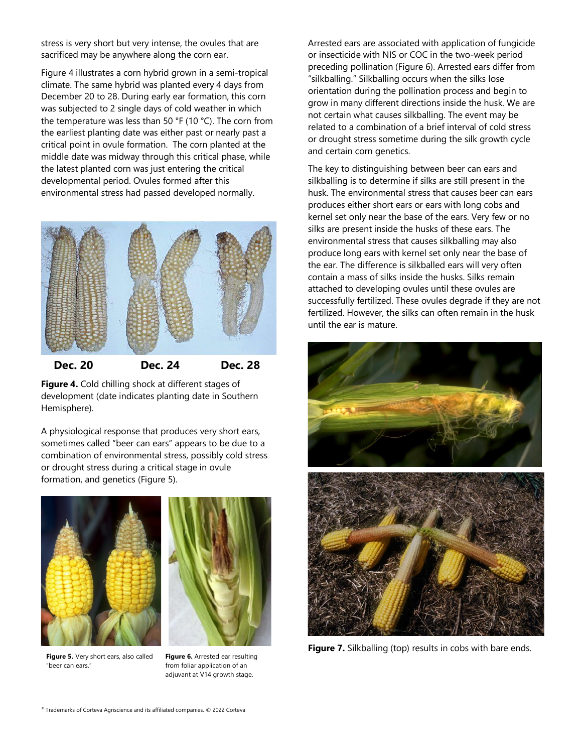stress is very short but very intense, the ovules that are sacrificed may be anywhere along the corn ear.

Figure 4 illustrates a corn hybrid grown in a semi-tropical climate. The same hybrid was planted every 4 days from December 20 to 28. During early ear formation, this corn was subjected to 2 single days of cold weather in which the temperature was less than 50 °F (10 °C). The corn from the earliest planting date was either past or nearly past a critical point in ovule formation. The corn planted at the middle date was midway through this critical phase, while the latest planted corn was just entering the critical developmental period. Ovules formed after this environmental stress had passed developed normally.



#### **Dec. 20 Dec. 24 Dec. 28**

**Figure 4.** Cold chilling shock at different stages of development (date indicates planting date in Southern Hemisphere).

A physiological response that produces very short ears, sometimes called "beer can ears" appears to be due to a combination of environmental stress, possibly cold stress or drought stress during a critical stage in ovule formation, and genetics (Figure 5).



**Figure 5.** Very short ears, also called "beer can ears."

**Figure 6.** Arrested ear resulting from foliar application of an adjuvant at V14 growth stage.

Arrested ears are associated with application of fungicide or insecticide with NIS or COC in the two-week period preceding pollination (Figure 6). Arrested ears differ from "silkballing." Silkballing occurs when the silks lose orientation during the pollination process and begin to grow in many different directions inside the husk. We are not certain what causes silkballing. The event may be related to a combination of a brief interval of cold stress or drought stress sometime during the silk growth cycle and certain corn genetics.

The key to distinguishing between beer can ears and silkballing is to determine if silks are still present in the husk. The environmental stress that causes beer can ears produces either short ears or ears with long cobs and kernel set only near the base of the ears. Very few or no silks are present inside the husks of these ears. The environmental stress that causes silkballing may also produce long ears with kernel set only near the base of the ear. The difference is silkballed ears will very often contain a mass of silks inside the husks. Silks remain attached to developing ovules until these ovules are successfully fertilized. These ovules degrade if they are not fertilized. However, the silks can often remain in the husk until the ear is mature.



Figure 7. Silkballing (top) results in cobs with bare ends.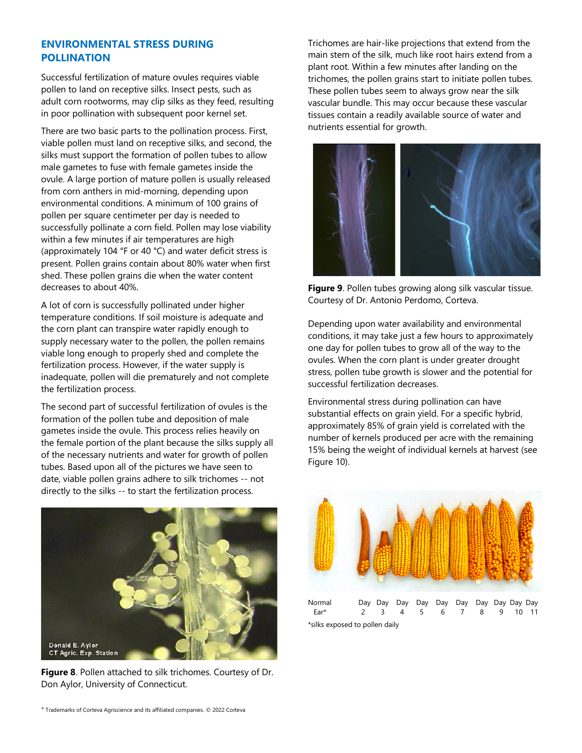## **ENVIRONMENTAL STRESS DURING POLLINATION**

Successful fertilization of mature ovules requires viable pollen to land on receptive silks. Insect pests, such as adult corn rootworms, may clip silks as they feed, resulting in poor pollination with subsequent poor kernel set.

There are two basic parts to the pollination process. First, viable pollen must land on receptive silks, and second, the silks must support the formation of pollen tubes to allow male gametes to fuse with female gametes inside the ovule. A large portion of mature pollen is usually released from corn anthers in mid-morning, depending upon environmental conditions. A minimum of 100 grains of pollen per square centimeter per day is needed to successfully pollinate a corn field. Pollen may lose viability within a few minutes if air temperatures are high (approximately 104 °F or 40 °C) and water deficit stress is present. Pollen grains contain about 80% water when first shed. These pollen grains die when the water content decreases to about 40%.

A lot of corn is successfully pollinated under higher temperature conditions. If soil moisture is adequate and the corn plant can transpire water rapidly enough to supply necessary water to the pollen, the pollen remains viable long enough to properly shed and complete the fertilization process. However, if the water supply is inadequate, pollen will die prematurely and not complete the fertilization process.

The second part of successful fertilization of ovules is the formation of the pollen tube and deposition of male gametes inside the ovule. This process relies heavily on the female portion of the plant because the silks supply all of the necessary nutrients and water for growth of pollen tubes. Based upon all of the pictures we have seen to date, viable pollen grains adhere to silk trichomes -- not directly to the silks -- to start the fertilization process.



**Figure 8**. Pollen attached to silk trichomes. Courtesy of Dr. Don Aylor, University of Connecticut.

Trichomes are hair-like projections that extend from the main stem of the silk, much like root hairs extend from a plant root. Within a few minutes after landing on the trichomes, the pollen grains start to initiate pollen tubes. These pollen tubes seem to always grow near the silk vascular bundle. This may occur because these vascular tissues contain a readily available source of water and nutrients essential for growth.



**Figure 9**. Pollen tubes growing along silk vascular tissue. Courtesy of Dr. Antonio Perdomo, Corteva.

Depending upon water availability and environmental conditions, it may take just a few hours to approximately one day for pollen tubes to grow all of the way to the ovules. When the corn plant is under greater drought stress, pollen tube growth is slower and the potential for successful fertilization decreases.

Environmental stress during pollination can have substantial effects on grain yield. For a specific hybrid, approximately 85% of grain yield is correlated with the number of kernels produced per acre with the remaining 15% being the weight of individual kernels at harvest (see Figure 10).



Normal Day Day Day Day Day Day Day Day Day Day Ear\* 2 3 4 5 6 7 8 9 10 11 \*silks exposed to pollen daily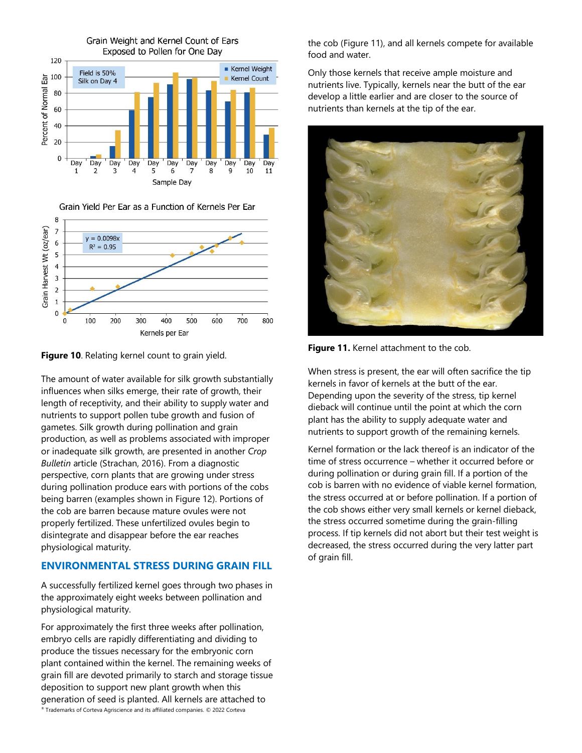



400

Kernels per Ear

500

600

700

800

Grain Yield Per Ear as a Function of Kernels Per Ear



300

 $\mathbf 0$  $\overline{0}$ 

100

200

**Figure 10**. Relating kernel count to grain yield.

The amount of water available for silk growth substantially influences when silks emerge, their rate of growth, their length of receptivity, and their ability to supply water and nutrients to support pollen tube growth and fusion of gametes. Silk growth during pollination and grain production, as well as problems associated with improper or inadequate silk growth, are presented in another *Crop Bulletin* article (Strachan, 2016). From a diagnostic perspective, corn plants that are growing under stress during pollination produce ears with portions of the cobs being barren (examples shown in Figure 12). Portions of the cob are barren because mature ovules were not properly fertilized. These unfertilized ovules begin to disintegrate and disappear before the ear reaches physiological maturity.

## **ENVIRONMENTAL STRESS DURING GRAIN FILL**

A successfully fertilized kernel goes through two phases in the approximately eight weeks between pollination and physiological maturity.

® Trademarks of Corteva Agriscience and its affiliated companies. © 2022 Corteva For approximately the first three weeks after pollination, embryo cells are rapidly differentiating and dividing to produce the tissues necessary for the embryonic corn plant contained within the kernel. The remaining weeks of grain fill are devoted primarily to starch and storage tissue deposition to support new plant growth when this generation of seed is planted. All kernels are attached to

the cob (Figure 11), and all kernels compete for available food and water.

Only those kernels that receive ample moisture and nutrients live. Typically, kernels near the butt of the ear develop a little earlier and are closer to the source of nutrients than kernels at the tip of the ear.



**Figure 11.** Kernel attachment to the cob.

When stress is present, the ear will often sacrifice the tip kernels in favor of kernels at the butt of the ear. Depending upon the severity of the stress, tip kernel dieback will continue until the point at which the corn plant has the ability to supply adequate water and nutrients to support growth of the remaining kernels.

Kernel formation or the lack thereof is an indicator of the time of stress occurrence – whether it occurred before or during pollination or during grain fill. If a portion of the cob is barren with no evidence of viable kernel formation, the stress occurred at or before pollination. If a portion of the cob shows either very small kernels or kernel dieback, the stress occurred sometime during the grain-filling process. If tip kernels did not abort but their test weight is decreased, the stress occurred during the very latter part of grain fill.